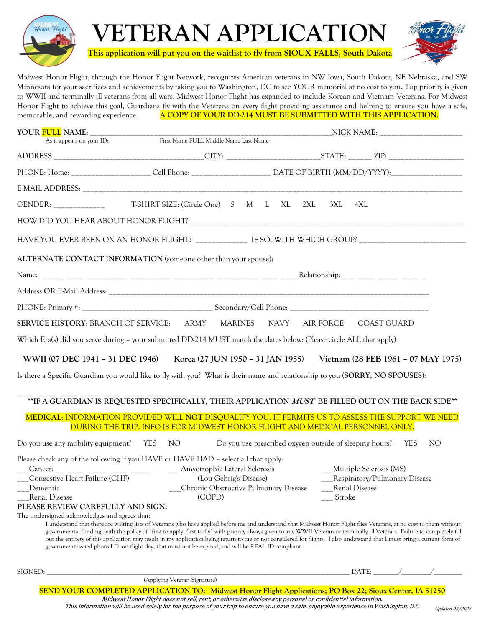

**This application will put you on the waitlist to fly from SIOUX FALLS, South Dakota**

**VETERAN APPLICATION**



Midwest Honor Flight, through the Honor Flight Network, recognizes American veterans in NW Iowa, South Dakota, NE Nebraska, and SW Minnesota for your sacrifices and achievements by taking you to Washington, DC to see YOUR memorial at no cost to you. Top priority is given to WWII and terminally ill veterans from all wars. Midwest Honor Flight has expanded to include Korean and Vietnam Veterans. For Midwest Honor Flight to achieve this goal, Guardians fly with the Veterans on every flight providing assistance and helping to ensure you have a safe, memorable, and rewarding experience. **A COPY OF YOUR DD-214 MUST BE SUBMITTED WITH THIS APPLICATION.**

| YOUR FULL NAME: ____________                                                                                                 |                                                                                                                                                                                                                                                                                                                                                           |                                                             |  |  |     |        |                      |                               |  |     |
|------------------------------------------------------------------------------------------------------------------------------|-----------------------------------------------------------------------------------------------------------------------------------------------------------------------------------------------------------------------------------------------------------------------------------------------------------------------------------------------------------|-------------------------------------------------------------|--|--|-----|--------|----------------------|-------------------------------|--|-----|
| As it appears on your ID:                                                                                                    | First Name FULL Middle Name Last Name                                                                                                                                                                                                                                                                                                                     |                                                             |  |  |     |        |                      |                               |  |     |
|                                                                                                                              |                                                                                                                                                                                                                                                                                                                                                           |                                                             |  |  |     |        |                      |                               |  |     |
| PHONE: Home: ____________________ Cell Phone: _____________________ DATE OF BIRTH (MM/DD/YYYY):_______________               |                                                                                                                                                                                                                                                                                                                                                           |                                                             |  |  |     |        |                      |                               |  |     |
|                                                                                                                              |                                                                                                                                                                                                                                                                                                                                                           |                                                             |  |  |     |        |                      |                               |  |     |
| GENDER: _____________                                                                                                        | T-SHIRT SIZE: (Circle One) S M L XL                                                                                                                                                                                                                                                                                                                       |                                                             |  |  | 2XL | 3XL    | 4XL                  |                               |  |     |
|                                                                                                                              |                                                                                                                                                                                                                                                                                                                                                           |                                                             |  |  |     |        |                      |                               |  |     |
| HAVE YOU EVER BEEN ON AN HONOR FLIGHT? _______________ IF SO, WITH WHICH GROUP? __________________________                   |                                                                                                                                                                                                                                                                                                                                                           |                                                             |  |  |     |        |                      |                               |  |     |
| ALTERNATE CONTACT INFORMATION (someone other than your spouse):                                                              |                                                                                                                                                                                                                                                                                                                                                           |                                                             |  |  |     |        |                      |                               |  |     |
|                                                                                                                              |                                                                                                                                                                                                                                                                                                                                                           |                                                             |  |  |     |        |                      |                               |  |     |
|                                                                                                                              |                                                                                                                                                                                                                                                                                                                                                           |                                                             |  |  |     |        |                      |                               |  |     |
|                                                                                                                              |                                                                                                                                                                                                                                                                                                                                                           |                                                             |  |  |     |        |                      |                               |  |     |
| SERVICE HISTORY: BRANCH OF SERVICE: ARMY MARINES NAVY AIR FORCE COAST GUARD                                                  |                                                                                                                                                                                                                                                                                                                                                           |                                                             |  |  |     |        |                      |                               |  |     |
| Which Era(s) did you serve during - your submitted DD-214 MUST match the dates below: (Please circle ALL that apply)         |                                                                                                                                                                                                                                                                                                                                                           |                                                             |  |  |     |        |                      |                               |  |     |
| WWII (07 DEC 1941 - 31 DEC 1946) Korea (27 JUN 1950 - 31 JAN 1955) Vietnam (28 FEB 1961 - 07 MAY 1975)                       |                                                                                                                                                                                                                                                                                                                                                           |                                                             |  |  |     |        |                      |                               |  |     |
|                                                                                                                              |                                                                                                                                                                                                                                                                                                                                                           |                                                             |  |  |     |        |                      |                               |  |     |
| Is there a Specific Guardian you would like to fly with you? What is their name and relationship to you (SORRY, NO SPOUSES): |                                                                                                                                                                                                                                                                                                                                                           |                                                             |  |  |     |        |                      |                               |  |     |
|                                                                                                                              | **IF A GUARDIAN IS REQUESTED SPECIFICALLY, THEIR APPLICATION MUST BE FILLED OUT ON THE BACK SIDE**                                                                                                                                                                                                                                                        |                                                             |  |  |     |        |                      |                               |  |     |
|                                                                                                                              | MEDICAL: INFORMATION PROVIDED WILL NOT DISQUALIFY YOU. IT PERMITS US TO ASSESS THE SUPPORT WE NEED                                                                                                                                                                                                                                                        |                                                             |  |  |     |        |                      |                               |  |     |
|                                                                                                                              | DURING THE TRIP. INFO IS FOR MIDWEST HONOR FLIGHT AND MEDICAL PERSONNEL ONLY.                                                                                                                                                                                                                                                                             |                                                             |  |  |     |        |                      |                               |  |     |
| Do you use any mobility equipment? YES NO                                                                                    |                                                                                                                                                                                                                                                                                                                                                           | Do you use prescribed oxygen outside of sleeping hours? YES |  |  |     |        |                      |                               |  | NO. |
| Please check any of the following if you HAVE or HAVE HAD – select all that apply:                                           |                                                                                                                                                                                                                                                                                                                                                           |                                                             |  |  |     |        |                      |                               |  |     |
|                                                                                                                              |                                                                                                                                                                                                                                                                                                                                                           |                                                             |  |  |     |        |                      | __Multiple Sclerosis (MS)     |  |     |
| Congestive Heart Failure (CHF)                                                                                               |                                                                                                                                                                                                                                                                                                                                                           | (Lou Gehrig's Disease)                                      |  |  |     |        |                      | Respiratory/Pulmonary Disease |  |     |
| Dementia                                                                                                                     | Chronic Obstructive Pulmonary Disease                                                                                                                                                                                                                                                                                                                     |                                                             |  |  |     |        | <b>Renal Disease</b> |                               |  |     |
| <b>Renal Disease</b>                                                                                                         | (COPD)                                                                                                                                                                                                                                                                                                                                                    |                                                             |  |  |     | Stroke |                      |                               |  |     |
| PLEASE REVIEW CAREFULLY AND SIGN:                                                                                            |                                                                                                                                                                                                                                                                                                                                                           |                                                             |  |  |     |        |                      |                               |  |     |
| The undersigned acknowledges and agrees that:                                                                                |                                                                                                                                                                                                                                                                                                                                                           |                                                             |  |  |     |        |                      |                               |  |     |
|                                                                                                                              | I understand that there are waiting lists of Veterans who have applied before me and understand that Midwest Honor Flight flies Veterans, at no cost to them without                                                                                                                                                                                      |                                                             |  |  |     |        |                      |                               |  |     |
|                                                                                                                              | governmental funding, with the policy of "first to apply, first to fly" with priority always given to any WWII Veteran or terminally ill Veteran. Failure to completely fill<br>out the entirety of this application may result in my application being return to me or not considered for flights. I also understand that I must bring a current form of |                                                             |  |  |     |        |                      |                               |  |     |
|                                                                                                                              | government issued photo I.D. on flight day, that must not be expired, and will be REAL ID compliant.                                                                                                                                                                                                                                                      |                                                             |  |  |     |        |                      |                               |  |     |
| SIGNED:                                                                                                                      |                                                                                                                                                                                                                                                                                                                                                           |                                                             |  |  |     |        |                      | DATE:                         |  |     |
|                                                                                                                              |                                                                                                                                                                                                                                                                                                                                                           |                                                             |  |  |     |        |                      |                               |  |     |
|                                                                                                                              | SEND YOUR COMPLETED APPLICATION TO: Midwest Honor Flight Applications; PO Box 22; Sioux Center, IA 51250                                                                                                                                                                                                                                                  |                                                             |  |  |     |        |                      |                               |  |     |

Midwest Honor Flight does not sell, rent, or otherwise disclose any personal or confidential information. This information will be used solely for the purpose of your trip to ensure you have a safe, enjoyable experience in Washington, D.C. Updated 05/2022